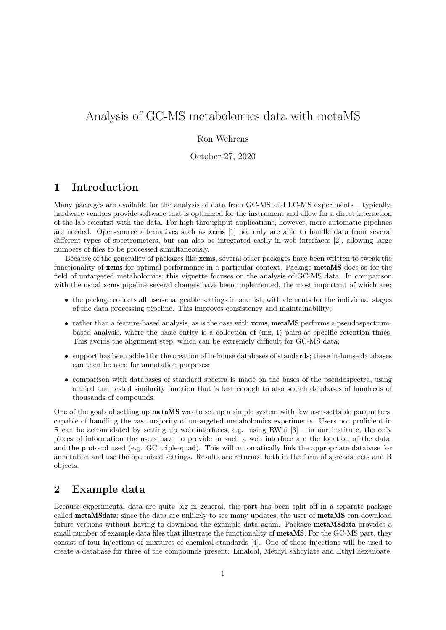# Analysis of GC-MS metabolomics data with metaMS

### Ron Wehrens

October 27, 2020

### 1 Introduction

Many packages are available for the analysis of data from GC-MS and LC-MS experiments – typically, hardware vendors provide software that is optimized for the instrument and allow for a direct interaction of the lab scientist with the data. For high-throughput applications, however, more automatic pipelines are needed. Open-source alternatives such as **xcms** [1] not only are able to handle data from several different types of spectrometers, but can also be integrated easily in web interfaces [2], allowing large numbers of files to be processed simultaneously.

Because of the generality of packages like xcms, several other packages have been written to tweak the functionality of xcms for optimal performance in a particular context. Package metaMS does so for the field of untargeted metabolomics; this vignette focuses on the analysis of GC-MS data. In comparison with the usual **xcms** pipeline several changes have been implemented, the most important of which are:

- the package collects all user-changeable settings in one list, with elements for the individual stages of the data processing pipeline. This improves consistency and maintainability;
- rather than a feature-based analysis, as is the case with xcms, metaMS performs a pseudospectrumbased analysis, where the basic entity is a collection of (mz, I) pairs at specific retention times. This avoids the alignment step, which can be extremely difficult for GC-MS data;
- support has been added for the creation of in-house databases of standards; these in-house databases can then be used for annotation purposes;
- comparison with databases of standard spectra is made on the bases of the pseudospectra, using a tried and tested similarity function that is fast enough to also search databases of hundreds of thousands of compounds.

One of the goals of setting up metaMS was to set up a simple system with few user-settable parameters, capable of handling the vast majority of untargeted metabolomics experiments. Users not proficient in R can be accomodated by setting up web interfaces, e.g. using RWui  $[3]$  – in our institute, the only pieces of information the users have to provide in such a web interface are the location of the data, and the protocol used (e.g. GC triple-quad). This will automatically link the appropriate database for annotation and use the optimized settings. Results are returned both in the form of spreadsheets and R objects.

### 2 Example data

Because experimental data are quite big in general, this part has been split off in a separate package called metaMSdata; since the data are unlikely to see many updates, the user of metaMS can download future versions without having to download the example data again. Package metaMSdata provides a small number of example data files that illustrate the functionality of **metaMS**. For the GC-MS part, they consist of four injections of mixtures of chemical standards [4]. One of these injections will be used to create a database for three of the compounds present: Linalool, Methyl salicylate and Ethyl hexanoate.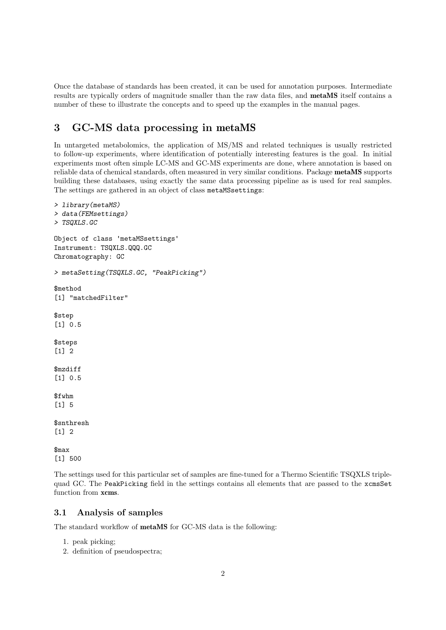Once the database of standards has been created, it can be used for annotation purposes. Intermediate results are typically orders of magnitude smaller than the raw data files, and metaMS itself contains a number of these to illustrate the concepts and to speed up the examples in the manual pages.

## 3 GC-MS data processing in metaMS

In untargeted metabolomics, the application of MS/MS and related techniques is usually restricted to follow-up experiments, where identification of potentially interesting features is the goal. In initial experiments most often simple LC-MS and GC-MS experiments are done, where annotation is based on reliable data of chemical standards, often measured in very similar conditions. Package metaMS supports building these databases, using exactly the same data processing pipeline as is used for real samples. The settings are gathered in an object of class metaMSsettings:

```
> library(metaMS)
> data(FEMsettings)
> TSQXLS.GC
Object of class 'metaMSsettings'
Instrument: TSQXLS.QQQ.GC
Chromatography: GC
> metaSetting(TSQXLS.GC, "PeakPicking")
$method
[1] "matchedFilter"
$step
[1] 0.5
$steps
[1] 2
$mzdiff
[1] 0.5
$fwhm
[1] 5
$snthresh
\lceil 1 \rceil 2
$max
[1] 500
```
The settings used for this particular set of samples are fine-tuned for a Thermo Scientific TSQXLS triplequad GC. The PeakPicking field in the settings contains all elements that are passed to the xcmsSet function from xcms.

### 3.1 Analysis of samples

The standard workflow of metaMS for GC-MS data is the following:

- 1. peak picking;
- 2. definition of pseudospectra;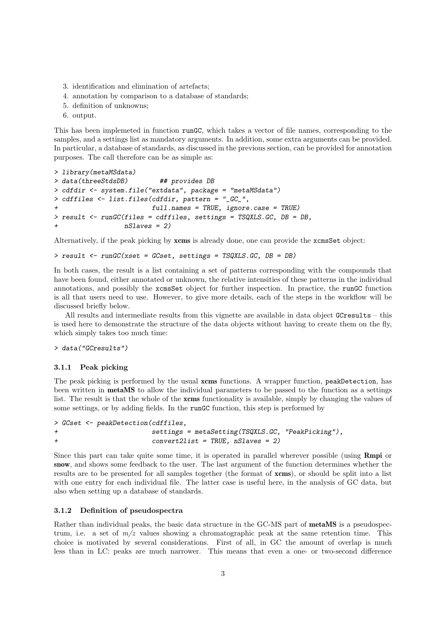- 3. identification and elimination of artefacts;
- 4. annotation by comparison to a database of standards;
- 5. definition of unknowns;
- 6. output.

This has been implemeted in function runGC, which takes a vector of file names, corresponding to the samples, and a settings list as mandatory arguments. In addition, some extra arguments can be provided. In particular, a database of standards, as discussed in the previous section, can be provided for annotation purposes. The call therefore can be as simple as:

```
> library(metaMSdata)
> data(threeStdsDB) ## provides DB
> cdfdir <- system.file("extdata", package = "metaMSdata")
> cdffiles <- list.files(cdfdir, pattern = "_GC_",
                        full.name = TRUE, ignore case = TRUE)> result <- runGC(files = cdffiles, settings = TSQXLS.GC, DB = DB,
                 nSlaves = 2
```
Alternatively, if the peak picking by xcms is already done, one can provide the xcmsSet object:

> result <- runGC(xset = GCset, settings = TSQXLS.GC, DB = DB)

In both cases, the result is a list containing a set of patterns corresponding with the compounds that have been found, either annotated or unknown, the relative intensities of these patterns in the individual annotations, and possibly the xcmsSet object for further inspection. In practice, the runGC function is all that users need to use. However, to give more details, each of the steps in the workflow will be discussed briefly below.

All results and intermediate results from this vignette are available in data object GCresults – this is used here to demonstrate the structure of the data objects without having to create them on the fly, which simply takes too much time:

> data("GCresults")

#### 3.1.1 Peak picking

The peak picking is performed by the usual **xcms** functions. A wrapper function, peakDetection, has been written in metaMS to allow the individual parameters to be passed to the function as a settings list. The result is that the whole of the xcms functionality is available, simply by changing the values of some settings, or by adding fields. In the runGC function, this step is performed by

```
> GCset <- peakDetection(cdffiles,
+ settings = metaSetting(TSQXLS.GC, "PeakPicking"),
+ convert2list = TRUE, nSlaves = 2)
```
Since this part can take quite some time, it is operated in parallel wherever possible (using **Rmpi** or snow, and shows some feedback to the user. The last argument of the function determines whether the results are to be presented for all samples together (the format of xcms), or should be split into a list with one entry for each individual file. The latter case is useful here, in the analysis of GC data, but also when setting up a database of standards.

#### 3.1.2 Definition of pseudospectra

Rather than individual peaks, the basic data structure in the GC-MS part of **metaMS** is a pseudospectrum, i.e. a set of  $m/z$  values showing a chromatographic peak at the same retention time. This choice is motivated by several considerations. First of all, in GC the amount of overlap is much less than in LC: peaks are much narrower. This means that even a one- or two-second difference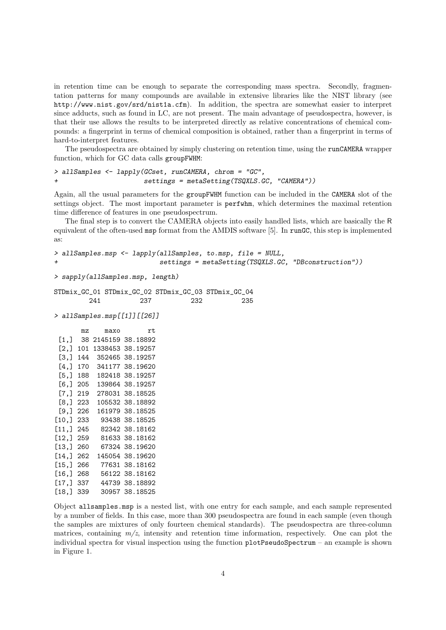in retention time can be enough to separate the corresponding mass spectra. Secondly, fragmentation patterns for many compounds are available in extensive libraries like the NIST library (see http://www.nist.gov/srd/nist1a.cfm). In addition, the spectra are somewhat easier to interpret since adducts, such as found in LC, are not present. The main advantage of pseudospectra, however, is that their use allows the results to be interpreted directly as relative concentrations of chemical compounds: a fingerprint in terms of chemical composition is obtained, rather than a fingerprint in terms of hard-to-interpret features.

The pseudospectra are obtained by simply clustering on retention time, using the runCAMERA wrapper function, which for GC data calls groupFWHM:

```
> allSamples <- lapply(GCset, runCAMERA, chrom = "GC",
+ settings = metaSetting(TSQXLS.GC, "CAMERA"))
```
Again, all the usual parameters for the groupFWHM function can be included in the CAMERA slot of the settings object. The most important parameter is perfwhm, which determines the maximal retention time difference of features in one pseudospectrum.

The final step is to convert the CAMERA objects into easily handled lists, which are basically the R equivalent of the often-used msp format from the AMDIS software [5]. In runGC, this step is implemented as:

```
> allSamples.msp <- lapply(allSamples, to.msp, file = NULL,
                           settings = metaSetting(TSQXLS.GC, "DBconstruction"))
```

```
> sapply(allSamples.msp, length)
```
STDmix\_GC\_01 STDmix\_GC\_02 STDmix\_GC\_03 STDmix\_GC\_04 241 237 232 235

> allSamples.msp[[1]][[26]]

mz maxo rt [1,] 38 2145159 38.18892 [2,] 101 1338453 38.19257 [3,] 144 352465 38.19257 [4,] 170 341177 38.19620 [5,] 188 182418 38.19257 [6,] 205 139864 38.19257 [7,] 219 278031 38.18525 [8,] 223 105532 38.18892 [9,] 226 161979 38.18525 [10,] 233 93438 38.18525 [11,] 245 82342 38.18162 [12,] 259 81633 38.18162 [13,] 260 67324 38.19620 [14,] 262 145054 38.19620 [15,] 266 77631 38.18162 [16,] 268 56122 38.18162 [17,] 337 44739 38.18892 [18,] 339 30957 38.18525

Object allsamples.msp is a nested list, with one entry for each sample, and each sample represented by a number of fields. In this case, more than 300 pseudospectra are found in each sample (even though the samples are mixtures of only fourteen chemical standards). The pseudospectra are three-column matrices, containing  $m/z$ , intensity and retention time information, respectively. One can plot the individual spectra for visual inspection using the function plotPseudoSpectrum – an example is shown in Figure 1.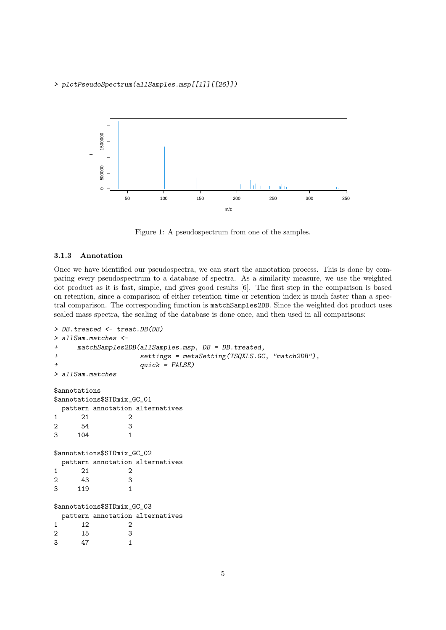> plotPseudoSpectrum(allSamples.msp[[1]][[26]])



Figure 1: A pseudospectrum from one of the samples.

#### 3.1.3 Annotation

Once we have identified our pseudospectra, we can start the annotation process. This is done by comparing every pseudospectrum to a database of spectra. As a similarity measure, we use the weighted dot product as it is fast, simple, and gives good results [6]. The first step in the comparison is based on retention, since a comparison of either retention time or retention index is much faster than a spectral comparison. The corresponding function is matchSamples2DB. Since the weighted dot product uses scaled mass spectra, the scaling of the database is done once, and then used in all comparisons:

```
> DB.treated <- treat.DB(DB)
> allSam.matches <-
+ matchSamples2DB(allSamples.msp, DB = DB.treated,
+ settings = metaSetting(TSQXLS.GC, "match2DB"),
                quick = FALSE)> allSam.matches
$annotations
$annotations$STDmix_GC_01
 pattern annotation alternatives
1 21 2
2 54 3
3 104 1
$annotations$STDmix_GC_02
 pattern annotation alternatives
1 21 2
2 43 3
3 119 1
$annotations$STDmix GC 03
 pattern annotation alternatives
1 12 2
2 15 3
3 47 1
```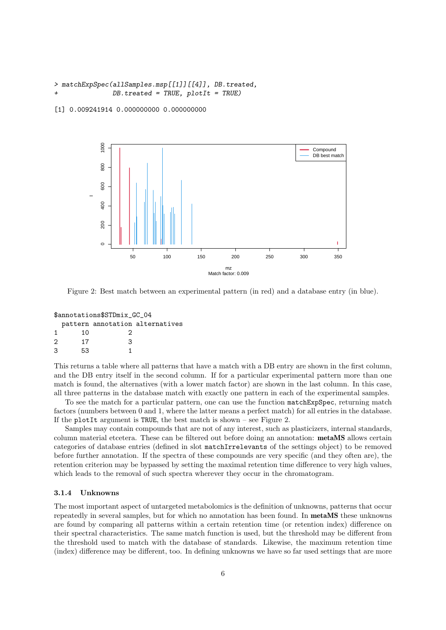```
> matchExpSpec(allSamples.msp[[1]][[4]], DB.treated,
               DB.treated = TRUE, plotIt = TRUE)
```
[1] 0.009241914 0.000000000 0.000000000



Figure 2: Best match between an experimental pattern (in red) and a database entry (in blue).

| \$annotations\$STDmix_GC_04 |    |    |                                 |  |  |
|-----------------------------|----|----|---------------------------------|--|--|
|                             |    |    | pattern annotation alternatives |  |  |
| 1                           | 10 | ., |                                 |  |  |
| 2                           | 17 | २  |                                 |  |  |
| 3                           | 53 |    |                                 |  |  |

This returns a table where all patterns that have a match with a DB entry are shown in the first column, and the DB entry itself in the second column. If for a particular experimental pattern more than one match is found, the alternatives (with a lower match factor) are shown in the last column. In this case, all three patterns in the database match with exactly one pattern in each of the experimental samples.

To see the match for a particular pattern, one can use the function matchExpSpec, returning match factors (numbers between 0 and 1, where the latter means a perfect match) for all entries in the database. If the plotIt argument is TRUE, the best match is shown – see Figure 2.

Samples may contain compounds that are not of any interest, such as plasticizers, internal standards, column material etcetera. These can be filtered out before doing an annotation: metaMS allows certain categories of database entries (defined in slot matchIrrelevants of the settings object) to be removed before further annotation. If the spectra of these compounds are very specific (and they often are), the retention criterion may be bypassed by setting the maximal retention time difference to very high values, which leads to the removal of such spectra wherever they occur in the chromatogram.

#### 3.1.4 Unknowns

The most important aspect of untargeted metabolomics is the definition of unknowns, patterns that occur repeatedly in several samples, but for which no annotation has been found. In metaMS these unknowns are found by comparing all patterns within a certain retention time (or retention index) difference on their spectral characteristics. The same match function is used, but the threshold may be different from the threshold used to match with the database of standards. Likewise, the maximum retention time (index) difference may be different, too. In defining unknowns we have so far used settings that are more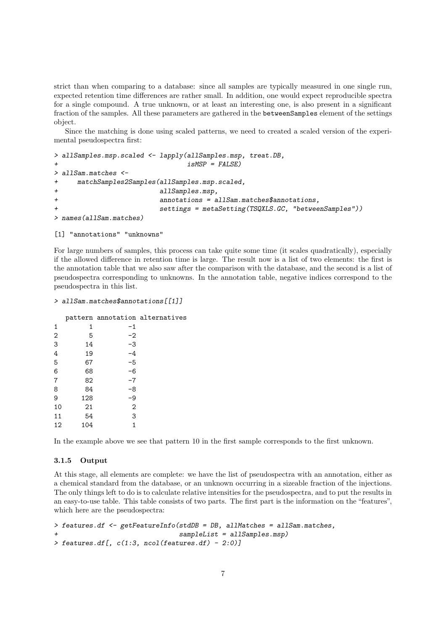strict than when comparing to a database: since all samples are typically measured in one single run, expected retention time differences are rather small. In addition, one would expect reproducible spectra for a single compound. A true unknown, or at least an interesting one, is also present in a significant fraction of the samples. All these parameters are gathered in the betweenSamples element of the settings object.

Since the matching is done using scaled patterns, we need to created a scaled version of the experimental pseudospectra first:

```
> allSamples.msp.scaled <- lapply(allSamples.msp, treat.DB,
+ isMSP = FALSE)
> allSam.matches <-
+ matchSamples2Samples(allSamples.msp.scaled,
                        allSamples.msp,
                        annotations = a11Sam.mathes$annotations,
                        settings = metaSetting(TSQXLS.GC, "betweenSamples"))> names(allSam.matches)
```

```
[1] "annotations" "unknowns"
```
For large numbers of samples, this process can take quite some time (it scales quadratically), especially if the allowed difference in retention time is large. The result now is a list of two elements: the first is the annotation table that we also saw after the comparison with the database, and the second is a list of pseudospectra corresponding to unknowns. In the annotation table, negative indices correspond to the pseudospectra in this list.

```
> allSam.matches$annotations[[1]]
```

|                |     |                | pattern annotation alternatives |
|----------------|-----|----------------|---------------------------------|
| 1              | 1   | $-1$           |                                 |
| $\overline{2}$ | 5   | $-2$           |                                 |
| 3              | 14  | -3             |                                 |
| 4              | 19  | $-4$           |                                 |
| 5              | 67  | $-5$           |                                 |
| 6              | 68  | -6             |                                 |
| 7              | 82  | $-7$           |                                 |
| 8              | 84  | -8             |                                 |
| 9              | 128 | -9             |                                 |
| 10             | 21  | $\overline{2}$ |                                 |
| 11             | 54  | 3              |                                 |
| 12             | 104 | 1              |                                 |
|                |     |                |                                 |

In the example above we see that pattern 10 in the first sample corresponds to the first unknown.

#### 3.1.5 Output

At this stage, all elements are complete: we have the list of pseudospectra with an annotation, either as a chemical standard from the database, or an unknown occurring in a sizeable fraction of the injections. The only things left to do is to calculate relative intensities for the pseudospectra, and to put the results in an easy-to-use table. This table consists of two parts. The first part is the information on the "features", which here are the pseudospectra:

```
> features.df <- getFeatureInfo(stdDB = DB, allMatches = allSam.matches,
                                 sampleList = all Samples.msp)\geq features.df[, c(1:3, ncol(features.df) - 2:0)]
```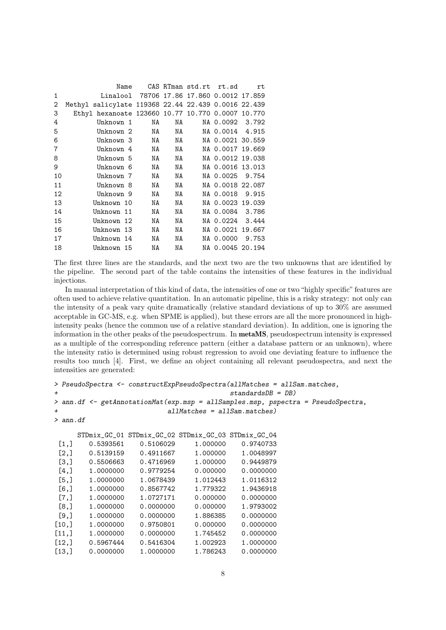|             | Name                                                |          |    |          | CAS RTman std.rt rt.sd | rt |
|-------------|-----------------------------------------------------|----------|----|----------|------------------------|----|
| $\mathbf 1$ | Linalool 78706 17.86 17.860 0.0012 17.859           |          |    |          |                        |    |
| 2           | Methyl salicylate 119368 22.44 22.439 0.0016 22.439 |          |    |          |                        |    |
| 3           | Ethyl hexanoate 123660 10.77 10.770 0.0007 10.770   |          |    |          |                        |    |
| 4           | Unknown 1                                           | NA       |    | NA 1999. | NA 0.0092 3.792        |    |
| 5           | Unknown 2 NA                                        |          |    | NA 1999. | NA 0.0014 4.915        |    |
| 6           | Unknown 3 NA                                        |          |    | NA       | NA 0.0021 30.559       |    |
| 7           | Unknown 4                                           | NA       |    | NA 1999. | NA 0.0017 19.669       |    |
| 8           | Unknown 5                                           |          | NA | NA 1999. | NA 0.0012 19.038       |    |
| 9           | Unknown 6                                           | NA 1939. | NA |          | NA 0.0016 13.013       |    |
| 10          | Unknown 7                                           | NA       | NA |          | NA 0.0025 9.754        |    |
| 11          | Unknown 8                                           | NA       | NA |          | NA 0.0018 22.087       |    |
| 12          | Unknown 9                                           | NA       | NA |          | NA 0.0018 9.915        |    |
| 13          | Unknown 10                                          | NA       | NA |          | NA 0.0023 19.039       |    |
| 14          | Unknown 11                                          | NA       | NA |          | NA 0.0084 3.786        |    |
| 15          | Unknown 12                                          | NA       | NA |          | NA 0.0224 3.444        |    |
| 16          | Unknown 13                                          | NA       | NA |          | NA 0.0021 19.667       |    |
| 17          | Unknown 14                                          | NA       | NA |          | NA 0.0000 9.753        |    |
| 18          | Unknown 15                                          | NA       | NA |          | NA 0.0045 20.194       |    |
|             |                                                     |          |    |          |                        |    |

The first three lines are the standards, and the next two are the two unknowns that are identified by the pipeline. The second part of the table contains the intensities of these features in the individual injections.

In manual interpretation of this kind of data, the intensities of one or two "highly specific" features are often used to achieve relative quantitation. In an automatic pipeline, this is a risky strategy: not only can the intensity of a peak vary quite dramatically (relative standard deviations of up to 30% are assumed acceptable in GC-MS, e.g. when SPME is applied), but these errors are all the more pronounced in highintensity peaks (hence the common use of a relative standard deviation). In addition, one is ignoring the information in the other peaks of the pseudospectrum. In metaMS, pseudospectrum intensity is expressed as a multiple of the corresponding reference pattern (either a database pattern or an unknown), where the intensity ratio is determined using robust regression to avoid one deviating feature to influence the results too much [4]. First, we define an object containing all relevant pseudospectra, and next the intensities are generated:

```
> PseudoSpectra <- constructExpPseudoSpectra(allMatches = allSam.matches,
                                              standardsDB = DB)
> ann.df <- getAnnotationMat(exp.msp = allSamples.msp, pspectra = PseudoSpectra,
                             allMatches = allSam.mathes)> ann.df
      STDmix_GC_01 STDmix_GC_02 STDmix_GC_03 STDmix_GC_04
 [1,] 0.5393561 0.5106029 1.000000 0.9740733
 [2,] 0.5139159 0.4911667 1.000000 1.0048997
 [3,] 0.5506663 0.4716969 1.000000 0.9449879<br>[4.1 1.0000000 0.9779254 0.000000 0.0000000
                      0.9779254
```

| .     | 1. 0000000 | <u>.</u>  | <u>v.vvvvv</u> | <u>v.vvvvvv</u> |
|-------|------------|-----------|----------------|-----------------|
| [5,]  | 1.0000000  | 1.0678439 | 1.012443       | 1.0116312       |
| [6,   | 1.0000000  | 0.8567742 | 1.779322       | 1.9436918       |
| [7,]  | 1.0000000  | 1.0727171 | 0.000000       | 0.0000000       |
| [8,]  | 1.0000000  | 0.0000000 | 0.000000       | 1.9793002       |
| [9,   | 1.0000000  | 0.0000000 | 1.886385       | 0.0000000       |
| [10,] | 1.0000000  | 0.9750801 | 0.000000       | 0.0000000       |
| [11,] | 1.0000000  | 0.0000000 | 1.745452       | 0.0000000       |
| [12,] | 0.5967444  | 0.5416304 | 1.002923       | 1.0000000       |
| [13,] | 0.0000000  | 1.0000000 | 1.786243       | 0.0000000       |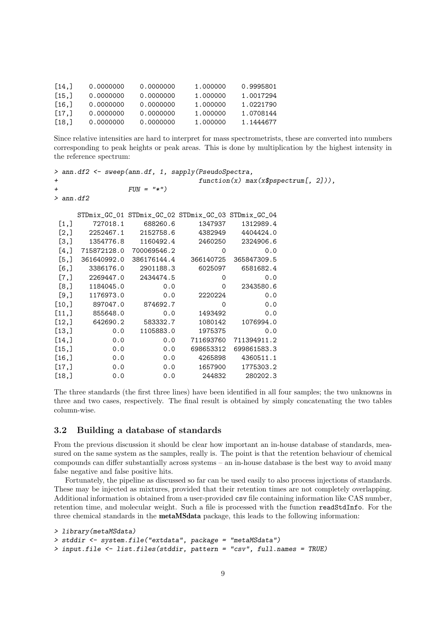| $\lceil 14 \cdot \rceil$ | 0.0000000 | 0.0000000 | 1.000000 | 0.9995801 |
|--------------------------|-----------|-----------|----------|-----------|
| 15.1                     | 0.0000000 | 0.0000000 | 1.000000 | 1.0017294 |
| $\lceil 16.1 \rceil$     | 0.0000000 | 0.0000000 | 1.000000 | 1.0221790 |
| $\lceil 17.1 \rceil$     | 0.0000000 | 0.0000000 | 1.000000 | 1.0708144 |
| $\lceil 18.1 \rceil$     | 0.0000000 | 0.0000000 | 1.000000 | 1.1444677 |

Since relative intensities are hard to interpret for mass spectrometrists, these are converted into numbers corresponding to peak heights or peak areas. This is done by multiplication by the highest intensity in the reference spectrum:

| > ann.df2 <- sweep(ann.df, 1, sapply(PseudoSpectra, |                                        |                                                     |           |             |  |  |  |
|-----------------------------------------------------|----------------------------------------|-----------------------------------------------------|-----------|-------------|--|--|--|
| $\ddot{}$                                           | $function(x) max(x$pspectrum[, 2]))$ , |                                                     |           |             |  |  |  |
| $\overline{+}$                                      |                                        | $FUN = "*")$                                        |           |             |  |  |  |
| $>$ ann.df2                                         |                                        |                                                     |           |             |  |  |  |
|                                                     |                                        |                                                     |           |             |  |  |  |
|                                                     |                                        | STDmix_GC_01 STDmix_GC_02 STDmix_GC_03 STDmix_GC_04 |           |             |  |  |  |
| [1,]                                                | 727018.1                               | 688260.6                                            | 1347937   | 1312989.4   |  |  |  |
| [2,]                                                |                                        | 2252467.1 2152758.6 4382949                         |           | 4404424.0   |  |  |  |
| [3,]                                                | 1354776.8                              | 1160492.4                                           | 2460250   | 2324906.6   |  |  |  |
| [4,]                                                |                                        | 715872128.0 700069546.2                             | $\Omega$  | 0.0         |  |  |  |
| [5,]                                                |                                        | 361640992.0 386176144.4                             | 366140725 | 365847309.5 |  |  |  |
| [6, 1]                                              | 3386176.0                              | 2901188.3                                           | 6025097   | 6581682.4   |  |  |  |
| [7,]                                                |                                        | 2269447.0 2434474.5                                 | $\Omega$  | 0.0         |  |  |  |
| [8,]                                                | 1184045.0                              | 0.0                                                 | $\Omega$  | 2343580.6   |  |  |  |
| $[9,$ ]                                             | 1176973.0                              | 0.0                                                 | 2220224   | 0.0         |  |  |  |
| [10,                                                | 897047.0                               | 874692.7                                            | 0         | 0.0         |  |  |  |
| [11,]                                               | 855648.0                               | 0.0                                                 | 1493492   | 0.0         |  |  |  |
| [12,]                                               | 642690.2                               | 583332.7                                            | 1080142   | 1076994.0   |  |  |  |
| [13,]                                               | 0.0                                    | 1105883.0                                           | 1975375   | 0.0         |  |  |  |
| [14,]                                               | 0.0                                    | 0.0                                                 | 711693760 | 711394911.2 |  |  |  |
| [15,]                                               | 0.0                                    | 0.0                                                 | 698653312 | 699861583.3 |  |  |  |
| [16,                                                | 0.0                                    | 0.0                                                 | 4265898   | 4360511.1   |  |  |  |
| [17,]                                               | 0.0                                    | 0.0                                                 | 1657900   | 1775303.2   |  |  |  |
| [18,]                                               | 0.0                                    | 0.0                                                 | 244832    | 280202.3    |  |  |  |

The three standards (the first three lines) have been identified in all four samples; the two unknowns in three and two cases, respectively. The final result is obtained by simply concatenating the two tables column-wise.

#### 3.2 Building a database of standards

From the previous discussion it should be clear how important an in-house database of standards, measured on the same system as the samples, really is. The point is that the retention behaviour of chemical compounds can differ substantially across systems – an in-house database is the best way to avoid many false negative and false positive hits.

Fortunately, the pipeline as discussed so far can be used easily to also process injections of standards. These may be injected as mixtures, provided that their retention times are not completely overlapping. Additional information is obtained from a user-provided csv file containing information like CAS number, retention time, and molecular weight. Such a file is processed with the function readStdInfo. For the three chemical standards in the metaMSdata package, this leads to the following information:

```
> library(metaMSdata)
> stddir <- system.file("extdata", package = "metaMSdata")
> input.file <- list.files(stddir, pattern = "csv", full.names = TRUE)
```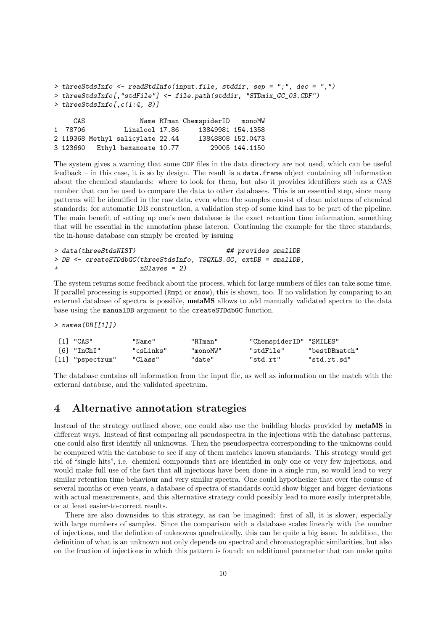```
> threeStdsInfo <- readStdInfo(input.file, stddir, sep = ";", dec = ",")
> threeStdsInfo[,"stdFile"] <- file.path(stddir, "STDmix_GC_03.CDF")
\rightarrow threeStdsInfo[, c(1:4, 8)]
    CAS Name RTman ChemspiderID monoMW
1 78706 Linalool 17.86 13849981 154.1358
2 119368 Methyl salicylate 22.44 13848808 152.0473
3 123660 Ethyl hexanoate 10.77 29005 144.1150
```
The system gives a warning that some CDF files in the data directory are not used, which can be useful feedback – in this case, it is so by design. The result is a data.frame object containing all information about the chemical standards: where to look for them, but also it provides identifiers such as a CAS number that can be used to compare the data to other databases. This is an essential step, since many patterns will be identified in the raw data, even when the samples consist of clean mixtures of chemical standards: for automatic DB construction, a validation step of some kind has to be part of the pipeline. The main benefit of setting up one's own database is the exact retention time information, something that will be essential in the annotation phase lateron. Continuing the example for the three standards, the in-house database can simply be created by issuing

```
> data(threeStdsNIST) ## provides smallDB
> DB <- createSTDdbGC(threeStdsInfo, TSQXLS.GC, extDB = smallDB,
                  nSlaves = 2)
```
The system returns some feedback about the process, which for large numbers of files can take some time. If parallel processing is supported (Rmpi or snow), this is shown, too. If no validation by comparing to an external database of spectra is possible, metaMS allows to add manually validated spectra to the data base using the manualDB argument to the createSTDdbGC function.

 $>$  names(DB[[1]])

| [1] "CAS"          | "Name"    | "RTman"  | "ChemspiderID" "SMILES" |               |
|--------------------|-----------|----------|-------------------------|---------------|
| $[6]$ "In $ChI"$   | "csLinks" | "monoMW" | "stdFile"               | "bestDBmatch" |
| $[11]$ "pspectrum" | "Class"   | "date"   | "std.rt"                | "std.rt.sd"   |

The database contains all information from the input file, as well as information on the match with the external database, and the validated spectrum.

### 4 Alternative annotation strategies

Instead of the strategy outlined above, one could also use the building blocks provided by metaMS in different ways. Instead of first comparing all pseudospectra in the injections with the database patterns, one could also first identify all unknowns. Then the pseudospectra corresponding to the unknowns could be compared with the database to see if any of them matches known standards. This strategy would get rid of "single hits", i.e. chemical compounds that are identified in only one or very few injections, and would make full use of the fact that all injections have been done in a single run, so would lead to very similar retention time behaviour and very similar spectra. One could hypothesize that over the course of several months or even years, a database of spectra of standards could show bigger and bigger deviations with actual measurements, and this alternative strategy could possibly lead to more easily interpretable, or at least easier-to-correct results.

There are also downsides to this strategy, as can be imagined: first of all, it is slower, especially with large numbers of samples. Since the comparison with a database scales linearly with the number of injections, and the defintion of unknowns quadratically, this can be quite a big issue. In addition, the definition of what is an unknown not only depends on spectral and chromatographic similarities, but also on the fraction of injections in which this pattern is found: an additional parameter that can make quite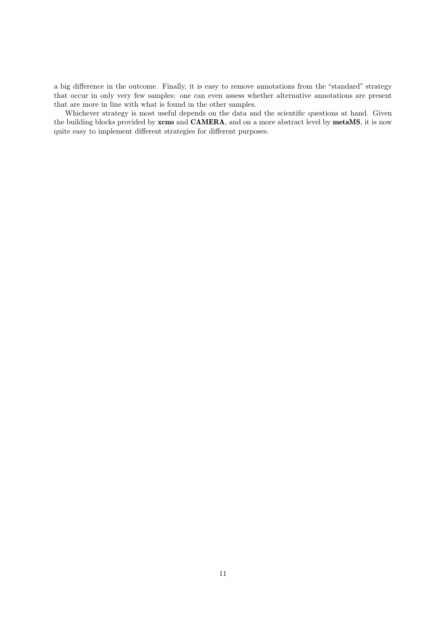a big difference in the outcome. Finally, it is easy to remove annotations from the "standard" strategy that occur in only very few samples: one can even assess whether alternative annotations are present that are more in line with what is found in the other samples.

Whichever strategy is most useful depends on the data and the scientific questions at hand. Given the building blocks provided by xcms and CAMERA, and on a more abstract level by metaMS, it is now quite easy to implement different strategies for different purposes.